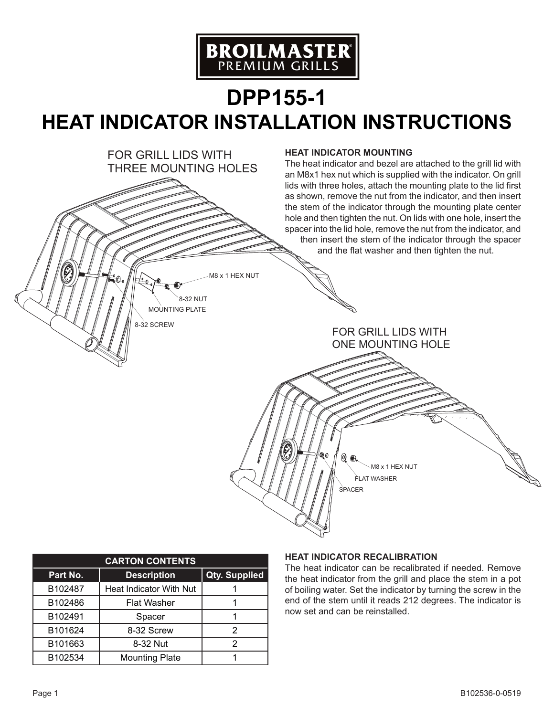

## **DPP155-1 HEAT INDICATOR INSTALLATION INSTRUCTIONS**



| <b>CARTON CONTENTS</b> |                         |                      |
|------------------------|-------------------------|----------------------|
| Part No.               | <b>Description</b>      | <b>Qty. Supplied</b> |
| B102487                | Heat Indicator With Nut |                      |
| B102486                | <b>Flat Washer</b>      |                      |
| B102491                | Spacer                  |                      |
| B101624                | 8-32 Screw              | 2                    |
| B101663                | 8-32 Nut                |                      |
| B102534                | <b>Mounting Plate</b>   |                      |

## **Heat Indicator Recalibration**

The heat indicator can be recalibrated if needed. Remove the heat indicator from the grill and place the stem in a pot of boiling water. Set the indicator by turning the screw in the end of the stem until it reads 212 degrees. The indicator is now set and can be reinstalled.